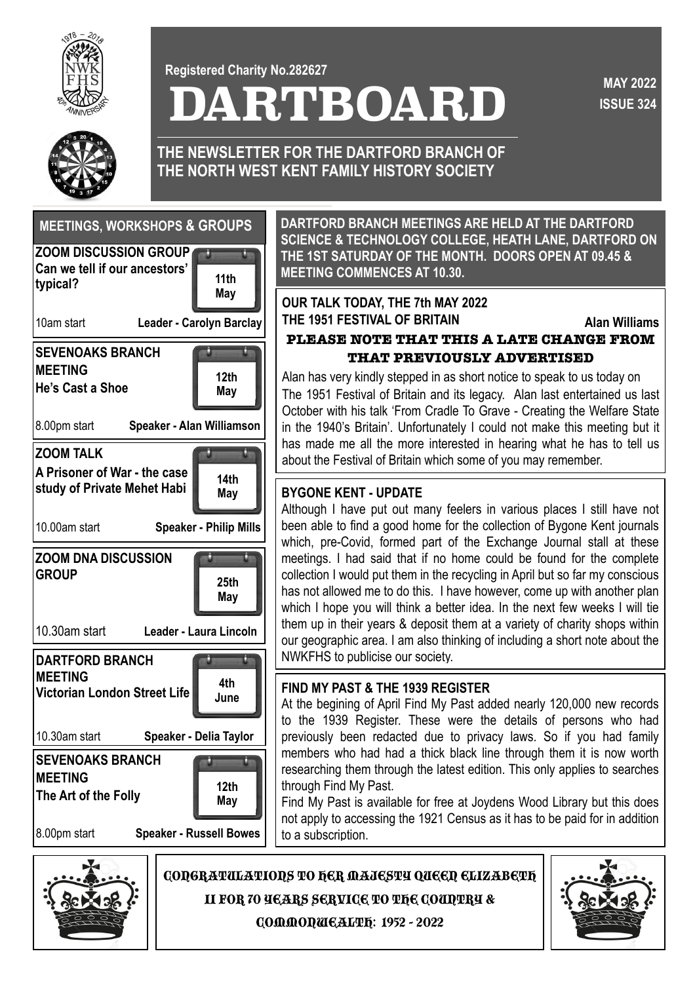

**DARTBOARD Registered Charity No.282627**

**ISSUE 324 MAY 2022** 



**THE NEWSLETTER FOR THE DARTFORD BRANCH OF THE NORTH WEST KENT FAMILY HISTORY SOCIETY**



**DARTFORD BRANCH MEETINGS ARE HELD AT THE DARTFORD SCIENCE & TECHNOLOGY COLLEGE, HEATH LANE, DARTFORD ON THE 1ST SATURDAY OF THE MONTH. DOORS OPEN AT 09.45 & MEETING COMMENCES AT 10.30.**

# **May OUR TALK TODAY, THE 7th MAY 2022 THE 1951 FESTIVAL OF BRITAIN Alan Williams**

## **PLEASE NOTE THAT THIS A LATE CHANGE FROM THAT PREVIOUSLY ADVERTISED**

Alan has very kindly stepped in as short notice to speak to us today on The 1951 Festival of Britain and its legacy. Alan last entertained us last October with his talk 'From Cradle To Grave - Creating the Welfare State in the 1940's Britain'. Unfortunately I could not make this meeting but it has made me all the more interested in hearing what he has to tell us about the Festival of Britain which some of you may remember.

# **BYGONE KENT - UPDATE**

Although I have put out many feelers in various places I still have not been able to find a good home for the collection of Bygone Kent journals which, pre-Covid, formed part of the Exchange Journal stall at these meetings. I had said that if no home could be found for the complete collection I would put them in the recycling in April but so far my conscious has not allowed me to do this. I have however, come up with another plan which I hope you will think a better idea. In the next few weeks I will tie them up in their years & deposit them at a variety of charity shops within our geographic area. I am also thinking of including a short note about the NWKFHS to publicise our society.

### **FIND MY PAST & THE 1939 REGISTER**

At the begining of April Find My Past added nearly 120,000 new records to the 1939 Register. These were the details of persons who had previously been redacted due to privacy laws. So if you had family members who had had a thick black line through them it is now worth researching them through the latest edition. This only applies to searches through Find My Past.

Find My Past is available for free at Joydens Wood Library but this does not apply to accessing the 1921 Census as it has to be paid for in addition to a subscription.



CONGRATULATIONS TO HER MAJESTY QUEEN ELIZABETH

II FOR 70 YEARS SERVICE TO THE COUNTRY &

COMMONWEALTH: 1952 - 2022